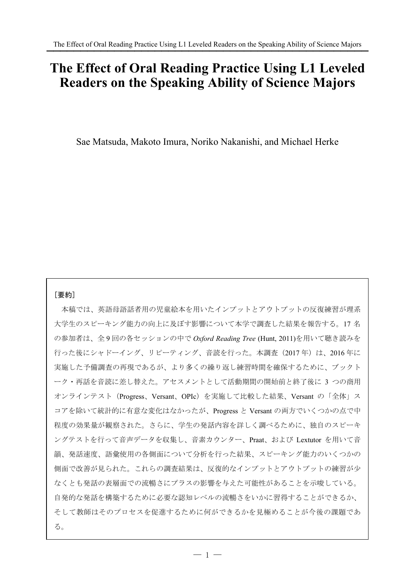# **The Effect of Oral Reading Practice Using L1 Leveled Readers on the Speaking Ability of Science Majors**

Sae Matsuda, Makoto Imura, Noriko Nakanishi, and Michael Herke

# [要約]

 本稿では、英語母語話者用の児童絵本を用いたインプットとアウトプットの反復練習が理系 大学生のスピーキング能力の向上に及ぼす影響について本学で調査した結果を報告する。17 名 の参加者は、全 9 回の各セッションの中で *Oxford Reading Tree* (Hunt, 2011)を用いて聴き読みを 行った後にシャドーイング、リピーティング、音読を行った。本調査 (2017年)は、2016 年に 実施した予備調査の再現であるが、より多くの繰り返し練習時間を確保するために、ブックト ーク・再話を音読に差し替えた。アセスメントとして活動期間の開始前と終了後に 3 つの商用 オンラインテスト(Progress、Versant、OPIc)を実施して比較した結果、Versant の「全体」ス コアを除いて統計的に有意な変化はなかったが、Progress と Versant の両方でいくつかの点で中 程度の効果量が観察された。さらに、学生の発話内容を詳しく調べるために、独自のスピーキ ングテストを行って音声データを収集し、音素カウンター、Praat、および Lextutor を用いて音 韻、発話速度、語彙使用の各側面について分析を行った結果、スピーキング能力のいくつかの 側面で改善が見られた。これらの調査結果は、反復的なインプットとアウトプットの練習が少 なくとも発話の表層面での流暢さにプラスの影響を与えた可能性があることを示唆している。 自発的な発話を構築するために必要な認知レベルの流暢さをいかに習得することができるか、 そして教師はそのプロセスを促進するために何ができるかを見極めることが今後の課題であ る。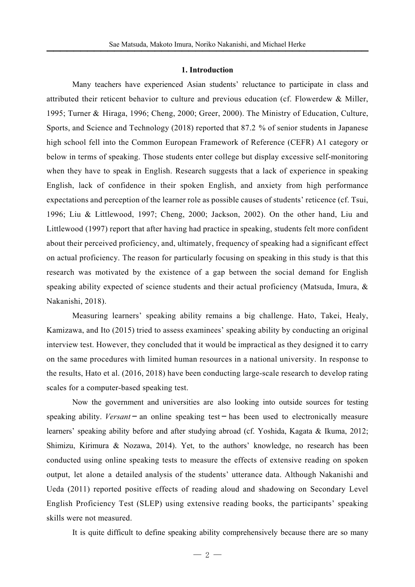#### **1. Introduction**

Many teachers have experienced Asian students' reluctance to participate in class and attributed their reticent behavior to culture and previous education (cf. Flowerdew & Miller, 1995; Turner & Hiraga, 1996; Cheng, 2000; Greer, 2000). The Ministry of Education, Culture, Sports, and Science and Technology (2018) reported that 87.2 % of senior students in Japanese high school fell into the Common European Framework of Reference (CEFR) A1 category or below in terms of speaking. Those students enter college but display excessive self-monitoring when they have to speak in English. Research suggests that a lack of experience in speaking English, lack of confidence in their spoken English, and anxiety from high performance expectations and perception of the learner role as possible causes of students' reticence (cf. Tsui, 1996; Liu & Littlewood, 1997; Cheng, 2000; Jackson, 2002). On the other hand, Liu and Littlewood (1997) report that after having had practice in speaking, students felt more confident about their perceived proficiency, and, ultimately, frequency of speaking had a significant effect on actual proficiency. The reason for particularly focusing on speaking in this study is that this research was motivated by the existence of a gap between the social demand for English speaking ability expected of science students and their actual proficiency (Matsuda, Imura,  $\&$ Nakanishi, 2018).

Measuring learners' speaking ability remains a big challenge. Hato, Takei, Healy, Kamizawa, and Ito (2015) tried to assess examinees' speaking ability by conducting an original interview test. However, they concluded that it would be impractical as they designed it to carry on the same procedures with limited human resources in a national university. In response to the results, Hato et al. (2016, 2018) have been conducting large-scale research to develop rating scales for a computer-based speaking test.

Now the government and universities are also looking into outside sources for testing speaking ability. *Versant* – an online speaking test – has been used to electronically measure learners' speaking ability before and after studying abroad (cf. Yoshida, Kagata & Ikuma, 2012; Shimizu, Kirimura & Nozawa, 2014). Yet, to the authors' knowledge, no research has been conducted using online speaking tests to measure the effects of extensive reading on spoken output, let alone a detailed analysis of the students' utterance data. Although Nakanishi and Ueda (2011) reported positive effects of reading aloud and shadowing on Secondary Level English Proficiency Test (SLEP) using extensive reading books, the participants' speaking skills were not measured.

It is quite difficult to define speaking ability comprehensively because there are so many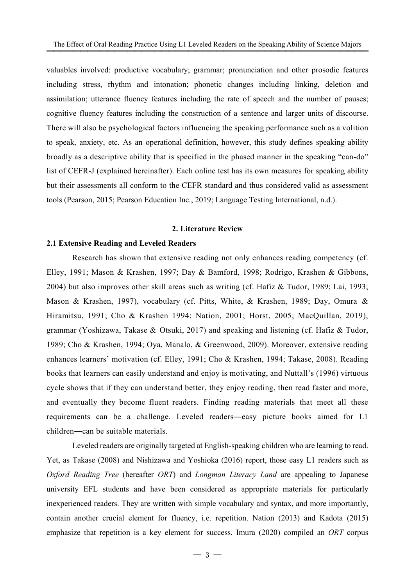valuables involved: productive vocabulary; grammar; pronunciation and other prosodic features including stress, rhythm and intonation; phonetic changes including linking, deletion and assimilation; utterance fluency features including the rate of speech and the number of pauses; cognitive fluency features including the construction of a sentence and larger units of discourse. There will also be psychological factors influencing the speaking performance such as a volition to speak, anxiety, etc. As an operational definition, however, this study defines speaking ability broadly as a descriptive ability that is specified in the phased manner in the speaking "can-do" list of CEFR-J (explained hereinafter). Each online test has its own measures for speaking ability but their assessments all conform to the CEFR standard and thus considered valid as assessment tools (Pearson, 2015; Pearson Education Inc., 2019; Language Testing International, n.d.).

## **2. Literature Review**

# **2.1 Extensive Reading and Leveled Readers**

Research has shown that extensive reading not only enhances reading competency (cf. Elley, 1991; Mason & Krashen, 1997; Day & Bamford, 1998; Rodrigo, Krashen & Gibbons, 2004) but also improves other skill areas such as writing (cf. Hafiz & Tudor, 1989; Lai, 1993; Mason & Krashen, 1997), vocabulary (cf. Pitts, White, & Krashen, 1989; Day, Omura & Hiramitsu, 1991; Cho & Krashen 1994; Nation, 2001; Horst, 2005; MacQuillan, 2019), grammar (Yoshizawa, Takase & Otsuki, 2017) and speaking and listening (cf. Hafiz & Tudor, 1989; Cho & Krashen, 1994; Oya, Manalo, & Greenwood, 2009). Moreover, extensive reading enhances learners' motivation (cf. Elley, 1991; Cho & Krashen, 1994; Takase, 2008). Reading books that learners can easily understand and enjoy is motivating, and Nuttall's (1996) virtuous cycle shows that if they can understand better, they enjoy reading, then read faster and more, and eventually they become fluent readers. Finding reading materials that meet all these requirements can be a challenge. Leveled readers—easy picture books aimed for L1 children—can be suitable materials.

Leveled readers are originally targeted at English-speaking children who are learning to read. Yet, as Takase (2008) and Nishizawa and Yoshioka (2016) report, those easy L1 readers such as *Oxford Reading Tree* (hereafter *ORT*) and *Longman Literacy Land* are appealing to Japanese university EFL students and have been considered as appropriate materials for particularly inexperienced readers. They are written with simple vocabulary and syntax, and more importantly, contain another crucial element for fluency, i.e. repetition. Nation (2013) and Kadota (2015) emphasize that repetition is a key element for success. Imura (2020) compiled an *ORT* corpus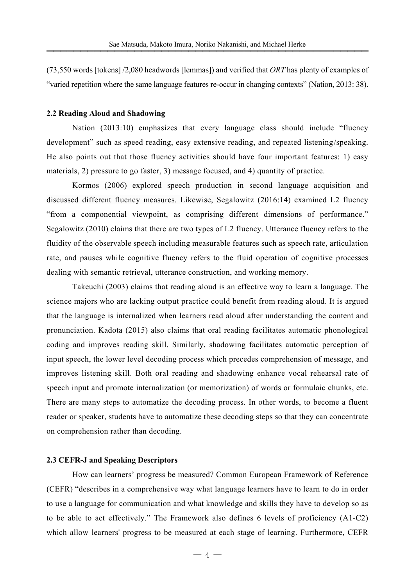(73,550 words [tokens] /2,080 headwords [lemmas]) and verified that *ORT* has plenty of examples of "varied repetition where the same language features re-occur in changing contexts" (Nation, 2013: 38).

#### **2.2 Reading Aloud and Shadowing**

Nation (2013:10) emphasizes that every language class should include "fluency development" such as speed reading, easy extensive reading, and repeated listening/speaking. He also points out that those fluency activities should have four important features: 1) easy materials, 2) pressure to go faster, 3) message focused, and 4) quantity of practice.

Kormos (2006) explored speech production in second language acquisition and discussed different fluency measures. Likewise, Segalowitz (2016:14) examined L2 fluency "from a componential viewpoint, as comprising different dimensions of performance." Segalowitz (2010) claims that there are two types of L2 fluency. Utterance fluency refers to the fluidity of the observable speech including measurable features such as speech rate, articulation rate, and pauses while cognitive fluency refers to the fluid operation of cognitive processes dealing with semantic retrieval, utterance construction, and working memory.

Takeuchi (2003) claims that reading aloud is an effective way to learn a language. The science majors who are lacking output practice could benefit from reading aloud. It is argued that the language is internalized when learners read aloud after understanding the content and pronunciation. Kadota (2015) also claims that oral reading facilitates automatic phonological coding and improves reading skill. Similarly, shadowing facilitates automatic perception of input speech, the lower level decoding process which precedes comprehension of message, and improves listening skill. Both oral reading and shadowing enhance vocal rehearsal rate of speech input and promote internalization (or memorization) of words or formulaic chunks, etc. There are many steps to automatize the decoding process. In other words, to become a fluent reader or speaker, students have to automatize these decoding steps so that they can concentrate on comprehension rather than decoding.

### **2.3 CEFR-J and Speaking Descriptors**

How can learners' progress be measured? Common European Framework of Reference (CEFR) "describes in a comprehensive way what language learners have to learn to do in order to use a language for communication and what knowledge and skills they have to develop so as to be able to act effectively." The Framework also defines 6 levels of proficiency (A1-C2) which allow learners' progress to be measured at each stage of learning. Furthermore, CEFR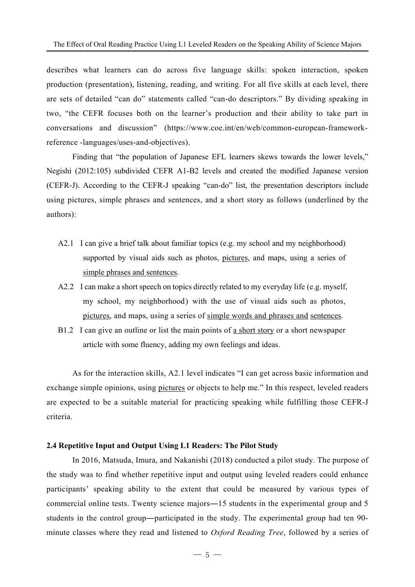describes what learners can do across five language skills: spoken interaction, spoken production (presentation), listening, reading, and writing. For all five skills at each level, there are sets of detailed "can do" statements called "can-do descriptors." By dividing speaking in two, "the CEFR focuses both on the learner's production and their ability to take part in conversations and discussion" (https://www.coe.int/en/web/common-european-frameworkreference -languages/uses-and-objectives).

Finding that "the population of Japanese EFL learners skews towards the lower levels," Negishi (2012:105) subdivided CEFR A1-B2 levels and created the modified Japanese version (CEFR-J). According to the CEFR-J speaking "can-do" list, the presentation descriptors include using pictures, simple phrases and sentences, and a short story as follows (underlined by the authors):

- A2.1 I can give a brief talk about familiar topics (e.g. my school and my neighborhood) supported by visual aids such as photos, pictures, and maps, using a series of simple phrases and sentences.
- A2.2 I can make a short speech on topics directly related to my everyday life (e.g. myself, my school, my neighborhood) with the use of visual aids such as photos, pictures, and maps, using a series of simple words and phrases and sentences.
- B1.2 I can give an outline or list the main points of a short story or a short newspaper article with some fluency, adding my own feelings and ideas.

As for the interaction skills, A2.1 level indicates "I can get across basic information and exchange simple opinions, using pictures or objects to help me." In this respect, leveled readers are expected to be a suitable material for practicing speaking while fulfilling those CEFR-J criteria.

#### **2.4 Repetitive Input and Output Using L1 Readers: The Pilot Study**

In 2016, Matsuda, Imura, and Nakanishi (2018) conducted a pilot study. The purpose of the study was to find whether repetitive input and output using leveled readers could enhance participants' speaking ability to the extent that could be measured by various types of commercial online tests. Twenty science majors-15 students in the experimental group and 5 students in the control group-participated in the study. The experimental group had ten 90 minute classes where they read and listened to *Oxford Reading Tree*, followed by a series of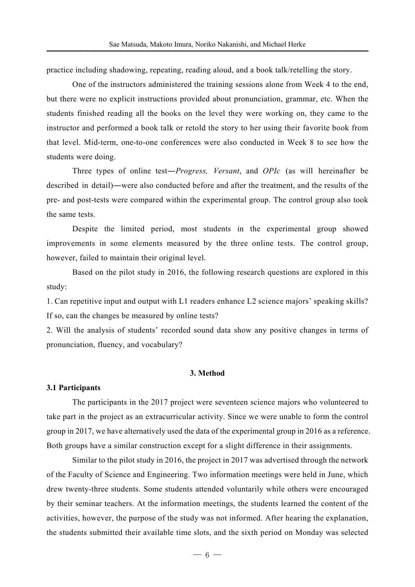practice including shadowing, repeating, reading aloud, and a book talk/retelling the story.

One of the instructors administered the training sessions alone from Week 4 to the end, but there were no explicit instructions provided about pronunciation, grammar, etc. When the students finished reading all the books on the level they were working on, they came to the instructor and performed a book talk or retold the story to her using their favorite book from that level. Mid-term, one-to-one conferences were also conducted in Week 8 to see how the students were doing.

Three types of online test-*Progress, Versant*, and *OPIc* (as will hereinafter be described in detail)-were also conducted before and after the treatment, and the results of the pre- and post-tests were compared within the experimental group. The control group also took the same tests.

Despite the limited period, most students in the experimental group showed improvements in some elements measured by the three online tests. The control group, however, failed to maintain their original level.

Based on the pilot study in 2016, the following research questions are explored in this study:

1. Can repetitive input and output with L1 readers enhance L2 science majors' speaking skills? If so, can the changes be measured by online tests?

2. Will the analysis of students' recorded sound data show any positive changes in terms of pronunciation, fluency, and vocabulary?

#### **3. Method**

#### **3.1 Participants**

The participants in the 2017 project were seventeen science majors who volunteered to take part in the project as an extracurricular activity. Since we were unable to form the control group in 2017, we have alternatively used the data of the experimental group in 2016 as a reference. Both groups have a similar construction except for a slight difference in their assignments.

Similar to the pilot study in 2016, the project in 2017 was advertised through the network of the Faculty of Science and Engineering. Two information meetings were held in June, which drew twenty-three students. Some students attended voluntarily while others were encouraged by their seminar teachers. At the information meetings, the students learned the content of the activities, however, the purpose of the study was not informed. After hearing the explanation, the students submitted their available time slots, and the sixth period on Monday was selected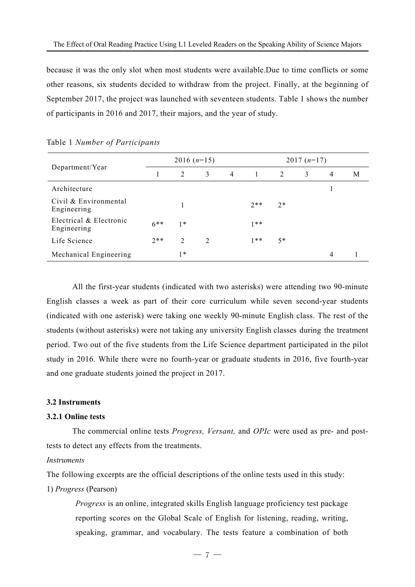because it was the only slot when most students were available.Due to time conflicts or some other reasons, six students decided to withdraw from the project. Finally, at the beginning of September 2017, the project was launched with seventeen students. Table 1 shows the number of participants in 2016 and 2017, their majors, and the year of study.

|                                        |        | $2016(n=15)$                  |               |                |                |      | $2017(n=17)$ |   |   |
|----------------------------------------|--------|-------------------------------|---------------|----------------|----------------|------|--------------|---|---|
| Department/Year                        |        | 2                             | 3             | $\overline{4}$ | $\overline{1}$ | 2    | 3            | 4 | М |
| Architecture                           |        |                               |               |                |                |      |              |   |   |
| Civil & Environmental<br>Engineering   |        |                               |               |                | $2**$          | $2*$ |              |   |   |
| Electrical & Electronic<br>Engineering | $6***$ | $1*$                          |               |                | $1**$          |      |              |   |   |
| Life Science                           | $2**$  | $\mathfrak{D}_{\mathfrak{p}}$ | $\mathcal{L}$ |                | $1**$          | $5*$ |              |   |   |
| Mechanical Engineering                 |        | $1*$                          |               |                |                |      |              | 4 |   |

Table 1 *Number of Participants* 

All the first-year students (indicated with two asterisks) were attending two 90-minute English classes a week as part of their core curriculum while seven second-year students (indicated with one asterisk) were taking one weekly 90-minute English class. The rest of the students (without asterisks) were not taking any university English classes during the treatment period. Two out of the five students from the Life Science department participated in the pilot study in 2016. While there were no fourth-year or graduate students in 2016, five fourth-year and one graduate students joined the project in 2017.

## **3.2 Instruments**

#### **3.2.1 Online tests**

The commercial online tests *Progress, Versant,* and *OPIc* were used as pre- and posttests to detect any effects from the treatments.

## *Instruments*

The following excerpts are the official descriptions of the online tests used in this study:

## 1) *Progress* (Pearson)

*Progress* is an online, integrated skills English language proficiency test package reporting scores on the Global Scale of English for listening, reading, writing, speaking, grammar, and vocabulary. The tests feature a combination of both

 $-7 -$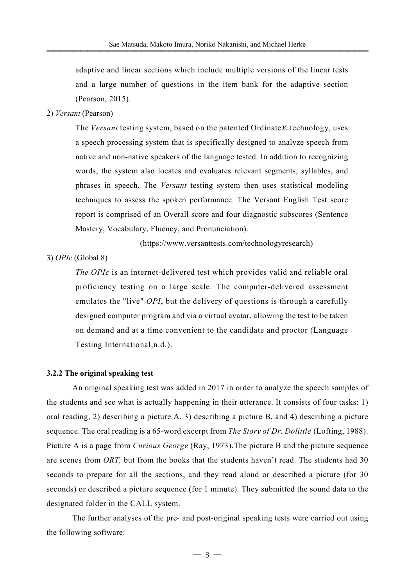adaptive and linear sections which include multiple versions of the linear tests and a large number of questions in the item bank for the adaptive section (Pearson, 2015).

## 2) *Versant* (Pearson)

The *Versant* testing system, based on the patented Ordinate® technology, uses a speech processing system that is specifically designed to analyze speech from native and non-native speakers of the language tested. In addition to recognizing words, the system also locates and evaluates relevant segments, syllables, and phrases in speech. The *Versant* testing system then uses statistical modeling techniques to assess the spoken performance. The Versant English Test score report is comprised of an Overall score and four diagnostic subscores (Sentence Mastery, Vocabulary, Fluency, and Pronunciation).

(https://www.versanttests.com/technologyresearch)

# 3) *OPIc* (Global 8)

*The OPIc* is an internet-delivered test which provides valid and reliable oral proficiency testing on a large scale. The computer-delivered assessment emulates the "live" *OPI*, but the delivery of questions is through a carefully designed computer program and via a virtual avatar, allowing the test to be taken on demand and at a time convenient to the candidate and proctor (Language Testing International,n.d.).

## **3.2.2 The original speaking test**

An original speaking test was added in 2017 in order to analyze the speech samples of the students and see what is actually happening in their utterance. It consists of four tasks: 1) oral reading, 2) describing a picture A, 3) describing a picture B, and 4) describing a picture sequence. The oral reading is a 65-word excerpt from *The Story of Dr. Dolittle* (Lofting, 1988). Picture A is a page from *Curious George* (Ray, 1973).The picture B and the picture sequence are scenes from *ORT,* but from the books that the students haven't read. The students had 30 seconds to prepare for all the sections, and they read aloud or described a picture (for 30 seconds) or described a picture sequence (for 1 minute). They submitted the sound data to the designated folder in the CALL system.

The further analyses of the pre- and post-original speaking tests were carried out using the following software: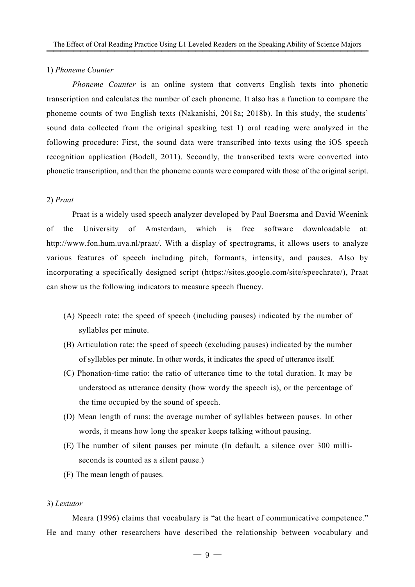#### 1) *Phoneme Counter*

*Phoneme Counter* is an online system that converts English texts into phonetic transcription and calculates the number of each phoneme. It also has a function to compare the phoneme counts of two English texts (Nakanishi, 2018a; 2018b). In this study, the students' sound data collected from the original speaking test 1) oral reading were analyzed in the following procedure: First, the sound data were transcribed into texts using the iOS speech recognition application (Bodell, 2011). Secondly, the transcribed texts were converted into phonetic transcription, and then the phoneme counts were compared with those of the original script.

## 2) *Praat*

Praat is a widely used speech analyzer developed by Paul Boersma and David Weenink of the University of Amsterdam, which is free software downloadable at: http://www.fon.hum.uva.nl/praat/. With a display of spectrograms, it allows users to analyze various features of speech including pitch, formants, intensity, and pauses. Also by incorporating a specifically designed script (https://sites.google.com/site/speechrate/), Praat can show us the following indicators to measure speech fluency.

- (A) Speech rate: the speed of speech (including pauses) indicated by the number of syllables per minute.
- (B) Articulation rate: the speed of speech (excluding pauses) indicated by the number of syllables per minute. In other words, it indicates the speed of utterance itself.
- (C) Phonation-time ratio: the ratio of utterance time to the total duration. It may be understood as utterance density (how wordy the speech is), or the percentage of the time occupied by the sound of speech.
- (D) Mean length of runs: the average number of syllables between pauses. In other words, it means how long the speaker keeps talking without pausing.
- (E) The number of silent pauses per minute (In default, a silence over 300 milliseconds is counted as a silent pause.)
- (F) The mean length of pauses.

## 3) *Lextutor*

Meara (1996) claims that vocabulary is "at the heart of communicative competence." He and many other researchers have described the relationship between vocabulary and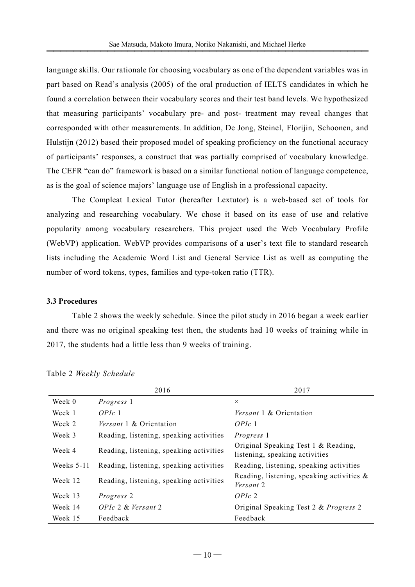language skills. Our rationale for choosing vocabulary as one of the dependent variables was in part based on Read's analysis (2005) of the oral production of IELTS candidates in which he found a correlation between their vocabulary scores and their test band levels. We hypothesized that measuring participants' vocabulary pre- and post- treatment may reveal changes that corresponded with other measurements. In addition, De Jong, Steinel, Florijin, Schoonen, and Hulstijn (2012) based their proposed model of speaking proficiency on the functional accuracy of participants' responses, a construct that was partially comprised of vocabulary knowledge. The CEFR "can do" framework is based on a similar functional notion of language competence, as is the goal of science majors' language use of English in a professional capacity.

The Compleat Lexical Tutor (hereafter Lextutor) is a web-based set of tools for analyzing and researching vocabulary. We chose it based on its ease of use and relative popularity among vocabulary researchers. This project used the Web Vocabulary Profile (WebVP) application. WebVP provides comparisons of a user's text file to standard research lists including the Academic Word List and General Service List as well as computing the number of word tokens, types, families and type-token ratio (TTR).

# **3.3 Procedures**

Table 2 shows the weekly schedule. Since the pilot study in 2016 began a week earlier and there was no original speaking test then, the students had 10 weeks of training while in 2017, the students had a little less than 9 weeks of training.

|              | 2016                                    | 2017                                                                  |
|--------------|-----------------------------------------|-----------------------------------------------------------------------|
| Week 0       | <i>Progress</i> 1                       | $\times$                                                              |
| Week 1       | OPIc 1                                  | <i>Versant</i> 1 & Orientation                                        |
| Week 2       | Versant 1 & Orientation                 | OPIc 1                                                                |
| Week 3       | Reading, listening, speaking activities | <i>Progress</i> 1                                                     |
| Week 4       | Reading, listening, speaking activities | Original Speaking Test 1 & Reading,<br>listening, speaking activities |
| Weeks $5-11$ | Reading, listening, speaking activities | Reading, listening, speaking activities                               |
| Week 12      | Reading, listening, speaking activities | Reading, listening, speaking activities $\&$<br>Versant 2             |
| Week 13      | <i>Progress</i> 2                       | OPIc 2                                                                |
| Week 14      | OPIc 2 & Versant 2                      | Original Speaking Test 2 & Progress 2                                 |
| Week 15      | Feedback                                | Feedback                                                              |

Table 2 *Weekly Schedule*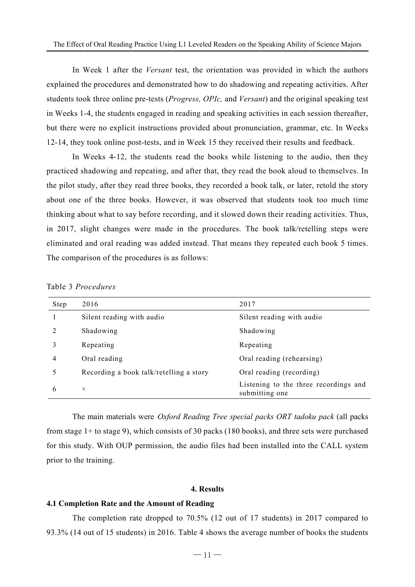In Week 1 after the *Versant* test, the orientation was provided in which the authors explained the procedures and demonstrated how to do shadowing and repeating activities. After students took three online pre-tests (*Progress, OPIc,* and *Versant*) and the original speaking test in Weeks 1-4, the students engaged in reading and speaking activities in each session thereafter, but there were no explicit instructions provided about pronunciation, grammar, etc. In Weeks 12-14, they took online post-tests, and in Week 15 they received their results and feedback.

In Weeks 4-12, the students read the books while listening to the audio, then they practiced shadowing and repeating, and after that, they read the book aloud to themselves. In the pilot study, after they read three books, they recorded a book talk, or later, retold the story about one of the three books. However, it was observed that students took too much time thinking about what to say before recording, and it slowed down their reading activities. Thus, in 2017, slight changes were made in the procedures. The book talk/retelling steps were eliminated and oral reading was added instead. That means they repeated each book 5 times. The comparison of the procedures is as follows:

| Step          | 2016                                    | 2017                                                    |
|---------------|-----------------------------------------|---------------------------------------------------------|
|               | Silent reading with audio               | Silent reading with audio                               |
| $\mathcal{D}$ | Shadowing                               | Shadowing                                               |
| 3             | Repeating                               | Repeating                                               |
| 4             | Oral reading                            | Oral reading (rehearsing)                               |
|               | Recording a book talk/retelling a story | Oral reading (recording)                                |
| 6             | $\times$                                | Listening to the three recordings and<br>submitting one |

Table 3 *Procedures*

The main materials were *Oxford Reading Tree special packs ORT tadoku pack* (all packs from stage 1+ to stage 9), which consists of 30 packs (180 books), and three sets were purchased for this study. With OUP permission, the audio files had been installed into the CALL system prior to the training.

## **4. Results**

#### **4.1 Completion Rate and the Amount of Reading**

The completion rate dropped to 70.5% (12 out of 17 students) in 2017 compared to 93.3% (14 out of 15 students) in 2016. Table 4 shows the average number of books the students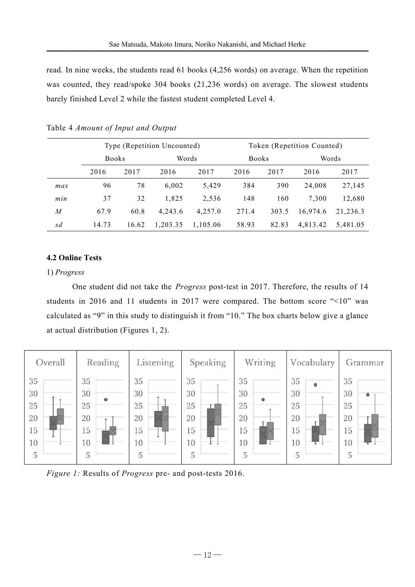|                         |                                    |       |          |                                                                                                 |       |                            |          | read. In nine weeks, the students read 61 books (4,256 words) on average. When the repetition<br>was counted, they read/spoke 304 books (21,236 words) on average. The slowest students |
|-------------------------|------------------------------------|-------|----------|-------------------------------------------------------------------------------------------------|-------|----------------------------|----------|-----------------------------------------------------------------------------------------------------------------------------------------------------------------------------------------|
|                         |                                    |       |          | barely finished Level 2 while the fastest student completed Level 4.                            |       |                            |          |                                                                                                                                                                                         |
|                         | Table 4 Amount of Input and Output |       |          |                                                                                                 |       |                            |          |                                                                                                                                                                                         |
|                         | Type (Repetition Uncounted)        |       |          |                                                                                                 |       | Token (Repetition Counted) |          |                                                                                                                                                                                         |
|                         | <b>Books</b>                       |       |          | Words                                                                                           |       | <b>Books</b>               |          | Words                                                                                                                                                                                   |
|                         | 2016                               | 2017  | 2016     | 2017                                                                                            | 2016  | 2017                       | 2016     | 2017                                                                                                                                                                                    |
| max                     | 96                                 | 78    | 6,002    | 5,429                                                                                           | 384   | 390                        | 24,008   | 27,145                                                                                                                                                                                  |
| min                     | 37                                 | 32    | 1,825    | 2,536                                                                                           | 148   | 160                        | 7,300    | 12,680                                                                                                                                                                                  |
| $\boldsymbol{M}$        | 67.9                               | 60.8  | 4,243.6  | 4,257.0                                                                                         | 271.4 | 303.5                      | 16,974.6 | 21,236.3                                                                                                                                                                                |
| sd                      | 14.73                              | 16.62 | 1,203.35 | 1,105.06                                                                                        | 58.93 | 82.83                      | 4,813.42 | 5,481.05                                                                                                                                                                                |
| <b>4.2 Online Tests</b> |                                    |       |          |                                                                                                 |       |                            |          |                                                                                                                                                                                         |
| 1) Progress             |                                    |       |          |                                                                                                 |       |                            |          |                                                                                                                                                                                         |
|                         |                                    |       |          |                                                                                                 |       |                            |          | One student did not take the Progress post-test in 2017. Therefore, the results of 14                                                                                                   |
|                         |                                    |       |          |                                                                                                 |       |                            |          | students in 2016 and 11 students in 2017 were compared. The bottom score $\degree$ <10" was                                                                                             |
|                         |                                    |       |          | calculated as "9" in this study to distinguish it from "10." The box charts below give a glance |       |                            |          |                                                                                                                                                                                         |

# Table Table 4 *Amount of Input and Output*

# **4.2 Online Tests**

#### 1) *Progress*

students in 2016 and 11 students in 2017 were compared. The bottom score  $\degree$  <10" was calculated as "9" in this study to distinguish it from "10." The box charts below give a glance at actual distribution (Figures 1, 2). One student did not take the *Progress* post-test in 2017. Therefore, the results of 14



*Figure 1:* Results of *Progress* pre- and post-tests 2016.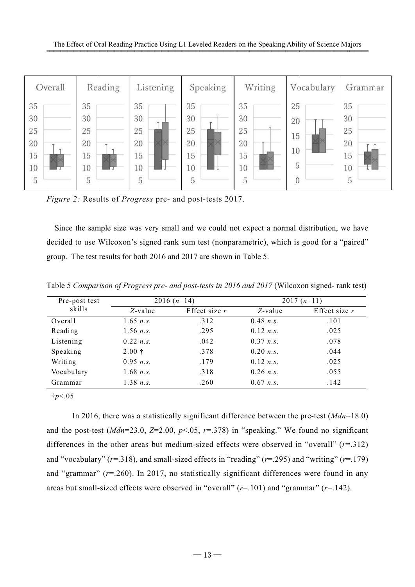

*Figure 2:* Results of *Progress* pre- and post-tests 2017.

decided to use Wilcoxon's signed rank sum test (nonparametric), which is good for a "paired" group. The test results for both 2016 and 2017 are shown in Table 5. Since the sample size was very small and we could not expect a normal distribution, we have decided to use Wilcoxon's signed rank sum test (nonparametric), which is good for a "paired" group. The test results for both 2016 Since the sample size was very small and we could not expect a normal distribution, we have

| skills     |             | $2016(n=14)$    | $2017(n=11)$ |                 |  |
|------------|-------------|-----------------|--------------|-----------------|--|
|            | $Z$ -value  | Effect size $r$ | $Z$ -value   | Effect size $r$ |  |
| Overall    | $1.65$ n.s. | .312            | 0.48 n.s.    | .101            |  |
| Reading    | $1.56$ n.s. | .295            | 0.12 n.s.    | .025            |  |
| Listening  | 0.22 n.s.   | .042            | 0.37 n.s.    | .078            |  |
| Speaking   | $2.00 +$    | .378            | 0.20 n.s.    | .044            |  |
| Writing    | 0.95 n.s.   | .179            | 0.12 n.s.    | .025            |  |
| Vocabulary | $1.68$ n.s. | .318            | $0.26$ n.s.  | .055            |  |
| Grammar    | 1.38 n.s.   | .260            | $0.67$ n.s.  | .142            |  |

and the post-test  $(Mdn=23.0, Z=2.00, p<.05,$ differences in the other areas but medium-sized effects were observed in "overall" ( $r=0.312$ ) differences in the other areas but medium-sized effects were observed in "overall" (*r*=.312) and "vocabulary" (*r*=.318), and small-sized effects in "reading" (*r*=.295) and "writing" (*r*=.179) and "grammar" ( $r=260$ ). In 2017, no statistically significant differences were found in any areas but small-sized effects were observed in "overall" ( $r=101$ ) and "grammar" ( $r=142$ ). In 2016, there was a statistically significant difference between the pre-test (*Mdn*=18.0)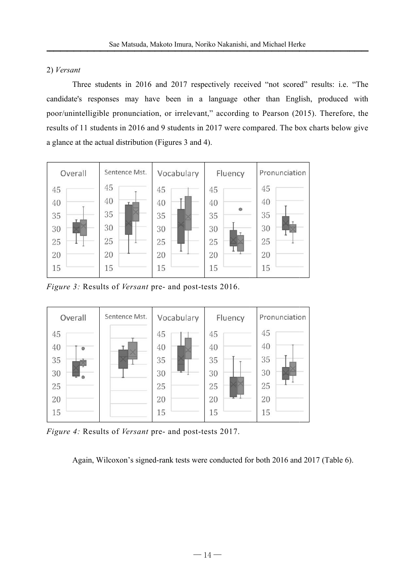# 2) *Versant*

candidate's responses may have been in a language other than English, produced with poor/unintelligible pronunciation, or irrelevant," according to Pearson (2015). Theref ore, the results of 11 students in 2016 and 9 students in 2017 were compared. The box charts below give a glance at the actual distribution (Figures 3 and 4). Three students in 2016 and 2017 respectively received "not scored" results: i.e. "The



*Figure 3:* Results of *Versant* pre- and post-tests 2016.



*Figure 4:* Results of *Versant* pre- and post-tests 2017.

Again, Wilcoxon's signed-rank tests were conducted for both 2016 and 2017 (Table 6).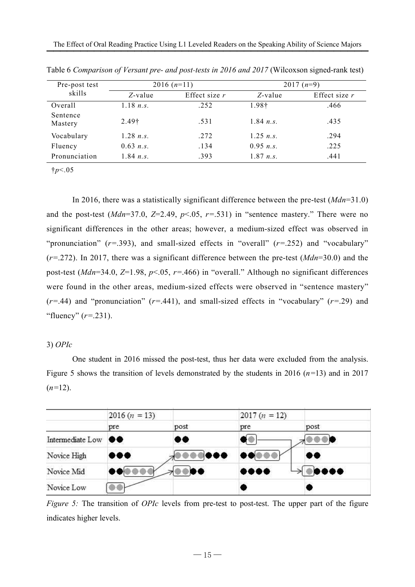| Pre-post test       |             | $2016(n=11)$    |                    | $2017(n=9)$     |
|---------------------|-------------|-----------------|--------------------|-----------------|
| skills              | $Z$ -value  | Effect size $r$ | $Z$ -value         | Effect size $r$ |
| Overall             | 1.18 n.s.   | .252            | 1.98†              | .466            |
| Sentence<br>Mastery | $2.49+$     | .531            | 1.84 $n_{\rm s}$ . | .435            |
| Vocabulary          | 1.28 n.s.   | .272            | $1.25$ n.s.        | .294            |
| Fluency             | $0.63$ n.s. | .134            | 0.95 n.s.          | .225            |
| Pronunciation       | 1.84 n.s.   | .393            | 1.87 n.s.          | .441            |

Table 6 *Comparison of Versant pre- and post-tests in 2016 and 2017* (Wilcoxson signed-rank test)

†*p*<.05

In 2016, there was a statistically significant difference between the pre-test (*Mdn*=31.0) and the post-test ( $Mdn=37.0$ ,  $Z=2.49$ ,  $p<0.5$ ,  $r=.531$ ) in "sentence mastery." There were no significant differences in the other areas; however, a medium-sized effect was observed in "pronunciation" (*r*=.393), and small-sized effects in "overall" (*r*=.252) and "vocabulary" (*r*=.272). In 2017, there was a significant difference between the pre-test (*Mdn*=30.0) and the post-test (*Mdn*=34.0, *Z*=1.98, *p*<.05, *r*=.466) in "overall." Although no significant differences were found in the other areas, medium-sized effects were observed in "sentence mastery"  $(r=.44)$  and "pronunciation"  $(r=.441)$ , and small-sized effects in "vocabulary"  $(r=.29)$  and "fluency" (*r*=.231).

## 3) *OPIc*

One student in 2016 missed the post-test, thus her data were excluded from the analysis. Figure 5 shows the transition of levels demonstrated by the students in 2016  $(n=13)$  and in 2017  $(n=12)$ .

|                  | $2016 (n = 13)$  |      | $2017(n = 12)$                            |                                                                           |
|------------------|------------------|------|-------------------------------------------|---------------------------------------------------------------------------|
|                  | pre              | post | pre                                       | post                                                                      |
| Intermediate Low | $\bullet\bullet$ | 00   | . .                                       |                                                                           |
| Novice High      |                  |      | $\bullet\bullet\circ\bullet\bullet\vdash$ | 00                                                                        |
| Novice Mid       |                  | ◥▧◓◓ | $\bullet\bullet\bullet\bullet$            | $\begin{smallmatrix} \circ & \circ & \bullet & \bullet \end{smallmatrix}$ |
| Novice Low       |                  |      |                                           |                                                                           |

*Figure 5:* The transition of *OPIc* levels from pre-test to post-test. The upper part of the figure indicates higher levels.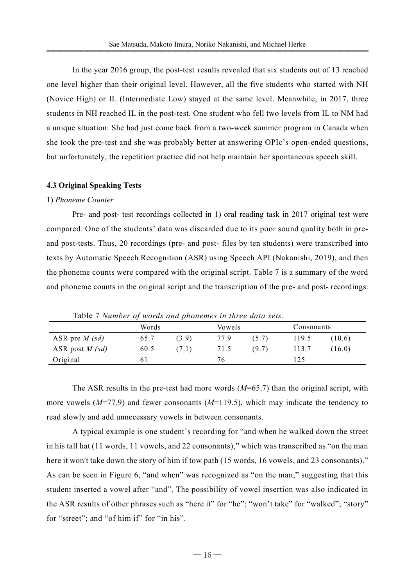In the year 2016 group, the post-test results revealed that six students out of 13 reached one level higher than their original level. However, all the five students who started with NH (Novice High) or IL (Intermediate Low) stayed at the same level. Meanwhile, in 2017, three students in NH reached IL in the post-test. One student who fell two levels from IL to NM had a unique situation: She had just come back from a two-week summer program in Canada when she took the pre-test and she was probably better at answering OPIc's open-ended questions, but unfortunately, the repetition practice did not help maintain her spontaneous speech skill.

#### **4.3 Original Speaking Tests**

## 1) *Phoneme Counter*

Pre- and post- test recordings collected in 1) oral reading task in 2017 original test were compared. One of the students' data was discarded due to its poor sound quality both in preand post-tests. Thus, 20 recordings (pre- and post- files by ten students) were transcribed into texts by Automatic Speech Recognition (ASR) using Speech API (Nakanishi, 2019), and then the phoneme counts were compared with the original script. Table 7 is a summary of the word and phoneme counts in the original script and the transcription of the pre- and post- recordings.

|                   | Words |       | Vowels |       | Consonants |        |
|-------------------|-------|-------|--------|-------|------------|--------|
| ASR pre $M$ (sd)  | 65.7  | (3.9) | 77.9   | (5.7) | 119.5      | (10.6) |
| ASR post $M$ (sd) | 60.5  | (7.1) | 71.5   | (9.7) | 113.7      | (16.0) |
| Original          | 6 l   |       | 76     |       | 125        |        |

Table 7 *Number of words and phonemes in three data sets.* 

The ASR results in the pre-test had more words (*M*=65.7) than the original script, with more vowels (*M*=77.9) and fewer consonants (*M*=119.5), which may indicate the tendency to read slowly and add unnecessary vowels in between consonants.

A typical example is one student's recording for "and when he walked down the street in his tall hat (11 words, 11 vowels, and 22 consonants)," which was transcribed as "on the man here it won't take down the story of him if tow path (15 words, 16 vowels, and 23 consonants)." As can be seen in Figure 6, "and when" was recognized as "on the man," suggesting that this student inserted a vowel after "and". The possibility of vowel insertion was also indicated in the ASR results of other phrases such as "here it" for "he"; "won't take" for "walked"; "story" for "street"; and "of him if" for "in his".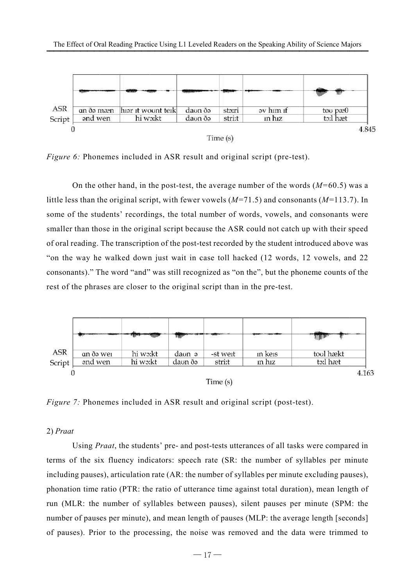

*Figure 6:* Phonemes included in ASR result and original script (pre-test).

little less than the original script, with fewer vowels ( *M*=71.5) and consonants ( *M*=113.7). In some of the students' recordings, the total number of words, vowels, and consonants were smaller than those in the original script because the ASR could not catch up with their speed of oral reading. The transcription of the post-test recorded by the student introduced above was "on the way he walked down just wait in case toll hacked (12 words, 12 vowels, and 22 consonants)." The word "and" was still recognized as "on the", but the phoneme counts of th rest of the phrases are closer to the original script than in the pre-test. On the other hand, in the post-test, the average number of the words  $(M=60.5)$  was a cordings, the total number of words, vowels, and consonants were<br>original script because the ASR could not catch up with their speed<br>cription of the post-test recorded by the student introduced above was<br>down just wait in 60.5) was a<br> $\epsilon$ =113.7). In<br>pnants were<br>their speed<br>their speed<br>al above was<br>els, and 22<br>ounts of the



*Figure Figure 7:* Phonemes included in ASR result and original script (post (post-test).

#### 2) *Praat*

terms of the six fluency indicators: speech rate (SR: the number of syllables per minute including pauses), articulation rate (AR: the number of syllables per minute excluding pauses), phonation time ratio (PTR: the ratio of utterance time against total duration), mean length of run (MLR: the number of syllables between pauses), silent pauses per minute (SPM: the number of pauses per minute), and mean length of pauses (MLP: the average length [seconds] of pauses). Prior to the processing, the noise was removed and the data were Using *Praat*, the students' pre- and post-tests utterances of all tasks the six fluency indicators: speech rate (SR: the number of syllables per minute pauses), articulation rate (AR: the number of syllables per minute excluding pauses), time ratio (PTR: the ratio of utterance time against tot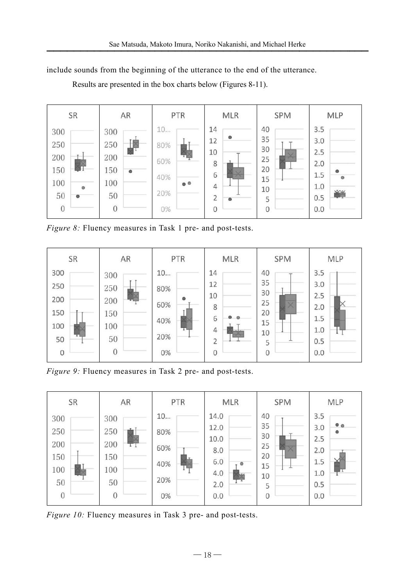include sounds from the beginning of the utterance to the end of the utterance.



Results are presented in the box charts below (Figures 8 8-11).

Figure 8: Fluency measures in Task 1 pre- and post-tests.



*Figure 9:* Fluency measures in Task 2 pre- and post-tests.



*Figure 10:* Fluency measures in Task 3 pre- and post-tests.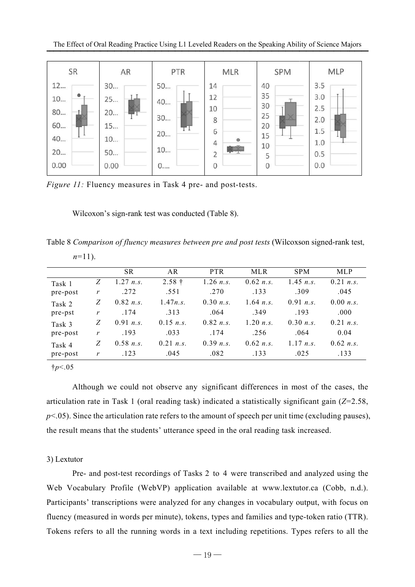

*Figure 11:* Fluency measures in Task 4 pre- and post-tests.

Table 8 Comparison of fluency measures between pre and post tests (Wilcoxson signed-rank test,

| $n=11$ ).   |                  |           |                                                                                                                                                                                                                                                                                                                                                                                                  |             |             |            |           |
|-------------|------------------|-----------|--------------------------------------------------------------------------------------------------------------------------------------------------------------------------------------------------------------------------------------------------------------------------------------------------------------------------------------------------------------------------------------------------|-------------|-------------|------------|-----------|
|             |                  | <b>SR</b> | AR                                                                                                                                                                                                                                                                                                                                                                                               | <b>PTR</b>  | <b>MLR</b>  | <b>SPM</b> | MLP       |
| Task 1      | Z                | 1.27 n.s. | $2.58 \text{ }^{\circ}$                                                                                                                                                                                                                                                                                                                                                                          | $1.26$ n.s. | 0.62 n.s.   | 1.45 n.s.  | 0.21 n.s. |
| pre-post    | $\boldsymbol{r}$ | .272      | .551                                                                                                                                                                                                                                                                                                                                                                                             | .270        | .133        | .309       | .045      |
| Task 2      | Z                | 0.82 n.s. | 1.47n.s.                                                                                                                                                                                                                                                                                                                                                                                         | 0.30 n.s.   | $1.64$ n.s. | 0.91 n.s.  | 0.00 n.s. |
| pre-pst     | $\boldsymbol{r}$ | .174      | .313                                                                                                                                                                                                                                                                                                                                                                                             | .064        | .349        | .193       | .000      |
| Task 3      | Z                | 0.91 n.s. | 0.15 n.s.                                                                                                                                                                                                                                                                                                                                                                                        | 0.82 n.s.   | 1.20 n.s.   | 0.30 n.s.  | 0.21 n.s. |
| pre-post    | $\boldsymbol{r}$ | .193      | .033                                                                                                                                                                                                                                                                                                                                                                                             | .174        | .256        | .064       | 0.04      |
| Task 4      | Z                | 0.58 n.s. | 0.21 n.s.                                                                                                                                                                                                                                                                                                                                                                                        | 0.39 n.s.   | 0.62 n.s.   | 1.17 n.s.  | 0.62 n.s. |
| pre-post    | r                | .123      | .045                                                                                                                                                                                                                                                                                                                                                                                             | .082        | .133        | .025       | .133      |
|             |                  |           |                                                                                                                                                                                                                                                                                                                                                                                                  |             |             |            |           |
|             |                  |           | Although we could not observe any significant differences in most of the cases, the<br>articulation rate in Task 1 (oral reading task) indicated a statistically significant gain $(Z=2.58$<br>$p<0.05$ ). Since the articulation rate refers to the amount of speech per unit time (excluding pauses<br>the result means that the students' utterance speed in the oral reading task increased. |             |             |            |           |
| 3) Lextutor |                  |           | Pre- and post-test recordings of Tasks 2 to 4 were transcribed and analyzed using the                                                                                                                                                                                                                                                                                                            |             |             |            |           |
|             |                  |           | Web Vocabulary Profile (WebVP) application available at www.lextutor.ca (Cobb, n.d.)                                                                                                                                                                                                                                                                                                             |             |             |            |           |
|             |                  |           | Participants' transcriptions were analyzed for any changes in vocabulary output, with focus or                                                                                                                                                                                                                                                                                                   |             |             |            |           |

## 3) Lextutor

Web Vocabulary Profile (WebVP) application available at www.lextutor.ca (Cobb, n.d.). Participants' transcriptions were analyzed for any changes in vocabulary output, with focus on fluency (measured in words per minute), tokens, types and families and type-token Tokens refers to all the running words in a text including repetitions. Types refers to all the Pre- and post-test recordings of Tasks 2 to 4 were transcribed and analyzed using the p<.05). Since the articulation rate refers to the amount of speech per unit time (excluding pauses),<br>the result means that the students' utterance speed in the oral reading task increased.<br>3) Lextutor<br>Pre- and post-test re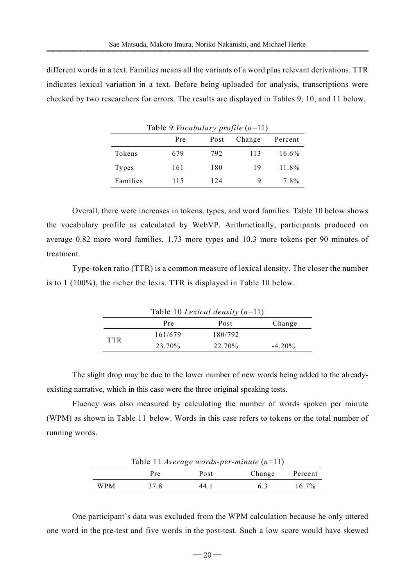different words in a text. Families means all the variants of a word plus relevant derivations. TTR indicates lexical variation in a text. Before being uploaded for analysis, transcriptions were checked by two researchers for errors. The results are displayed in Tables 9, 10, and 11 below.

|          | Table 9 <i>Vocabulary profile</i> $(n=11)$ |      |        |         |  |  |  |  |
|----------|--------------------------------------------|------|--------|---------|--|--|--|--|
|          | Pre                                        | Post | Change | Percent |  |  |  |  |
| Tokens   | 679                                        | 792  | 113    | 16.6%   |  |  |  |  |
| Types    | 161                                        | 180  | 19     | 11.8%   |  |  |  |  |
| Families | 115                                        | 124  | Q      | 7.8%    |  |  |  |  |

Overall, there were increases in tokens, types, and word families. Table 10 below shows the vocabulary profile as calculated by WebVP. Arithmetically, participants produced on average 0.82 more word families, 1.73 more types and 10.3 more tokens per 90 minutes of treatment.

Type-token ratio (TTR) is a common measure of lexical density. The closer the number is to 1 (100%), the richer the lexis. TTR is displayed in Table 10 below.

| Table 10 Lexical density $(n=11)$ |         |         |           |  |  |  |
|-----------------------------------|---------|---------|-----------|--|--|--|
|                                   | Pre     | Post    | Change    |  |  |  |
| <b>TTR</b>                        | 161/679 | 180/792 |           |  |  |  |
|                                   | 23.70%  | 22.70%  | $-4.20\%$ |  |  |  |

The slight drop may be due to the lower number of new words being added to the alreadyexisting narrative, which in this case were the three original speaking tests.

Fluency was also measured by calculating the number of words spoken per minute (WPM) as shown in Table 11 below. Words in this case refers to tokens or the total number of running words.

|            | Table 11 Average words-per-minute $(n=11)$ |      |        |          |
|------------|--------------------------------------------|------|--------|----------|
|            | Pre                                        | Post | Change | Percent  |
| <b>WPM</b> | 378                                        | 44 1 | 63     | $16.7\%$ |

One participant's data was excluded from the WPM calculation because he only uttered one word in the pre-test and five words in the post-test. Such a low score would have skewed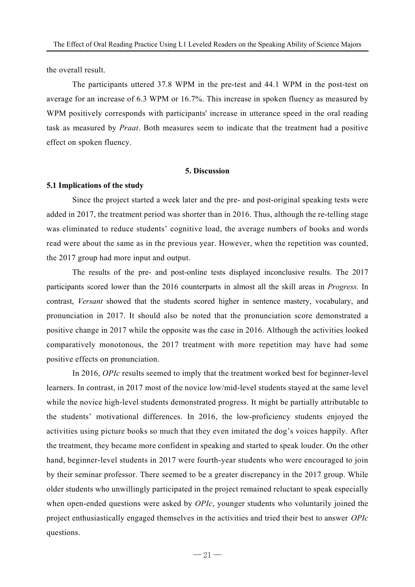the overall result.

The participants uttered 37.8 WPM in the pre-test and 44.1 WPM in the post-test on average for an increase of 6.3 WPM or 16.7%. This increase in spoken fluency as measured by WPM positively corresponds with participants' increase in utterance speed in the oral reading task as measured by *Praat*. Both measures seem to indicate that the treatment had a positive effect on spoken fluency.

## **5. Discussion**

#### **5.1 Implications of the study**

Since the project started a week later and the pre- and post-original speaking tests were added in 2017, the treatment period was shorter than in 2016. Thus, although the re-telling stage was eliminated to reduce students' cognitive load, the average numbers of books and words read were about the same as in the previous year. However, when the repetition was counted, the 2017 group had more input and output.

The results of the pre- and post-online tests displayed inconclusive results. The 2017 participants scored lower than the 2016 counterparts in almost all the skill areas in *Progress.* In contrast, *Versant* showed that the students scored higher in sentence mastery, vocabulary, and pronunciation in 2017. It should also be noted that the pronunciation score demonstrated a positive change in 2017 while the opposite was the case in 2016. Although the activities looked comparatively monotonous, the 2017 treatment with more repetition may have had some positive effects on pronunciation.

In 2016, *OPIc* results seemed to imply that the treatment worked best for beginner-level learners. In contrast, in 2017 most of the novice low/mid-level students stayed at the same level while the novice high-level students demonstrated progress. It might be partially attributable to the students' motivational differences. In 2016, the low-proficiency students enjoyed the activities using picture books so much that they even imitated the dog's voices happily. After the treatment, they became more confident in speaking and started to speak louder. On the other hand, beginner-level students in 2017 were fourth-year students who were encouraged to join by their seminar professor. There seemed to be a greater discrepancy in the 2017 group. While older students who unwillingly participated in the project remained reluctant to speak especially when open-ended questions were asked by *OPIc*, younger students who voluntarily joined the project enthusiastically engaged themselves in the activities and tried their best to answer *OPIc* questions.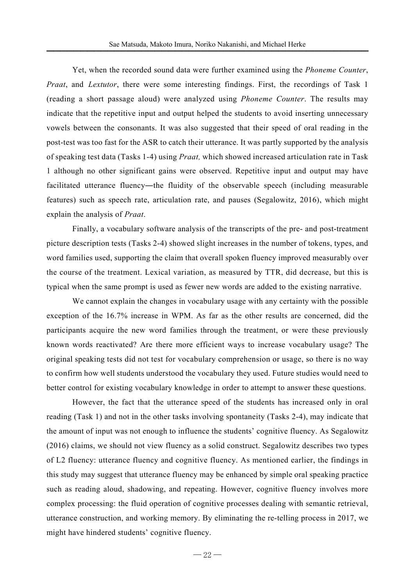Yet, when the recorded sound data were further examined using the *Phoneme Counter*, *Praat*, and *Lextutor*, there were some interesting findings. First, the recordings of Task 1 (reading a short passage aloud) were analyzed using *Phoneme Counter*. The results may indicate that the repetitive input and output helped the students to avoid inserting unnecessary vowels between the consonants. It was also suggested that their speed of oral reading in the post-test was too fast for the ASR to catch their utterance. It was partly supported by the analysis of speaking test data (Tasks 1-4) using *Praat,* which showed increased articulation rate in Task 1 although no other significant gains were observed. Repetitive input and output may have facilitated utterance fluency—the fluidity of the observable speech (including measurable features) such as speech rate, articulation rate, and pauses (Segalowitz, 2016), which might explain the analysis of *Praat*.

Finally, a vocabulary software analysis of the transcripts of the pre- and post-treatment picture description tests (Tasks 2-4) showed slight increases in the number of tokens, types, and word families used, supporting the claim that overall spoken fluency improved measurably over the course of the treatment. Lexical variation, as measured by TTR, did decrease, but this is typical when the same prompt is used as fewer new words are added to the existing narrative.

We cannot explain the changes in vocabulary usage with any certainty with the possible exception of the 16.7% increase in WPM. As far as the other results are concerned, did the participants acquire the new word families through the treatment, or were these previously known words reactivated? Are there more efficient ways to increase vocabulary usage? The original speaking tests did not test for vocabulary comprehension or usage, so there is no way to confirm how well students understood the vocabulary they used. Future studies would need to better control for existing vocabulary knowledge in order to attempt to answer these questions.

However, the fact that the utterance speed of the students has increased only in oral reading (Task 1) and not in the other tasks involving spontaneity (Tasks 2-4), may indicate that the amount of input was not enough to influence the students' cognitive fluency. As Segalowitz (2016) claims, we should not view fluency as a solid construct. Segalowitz describes two types of L2 fluency: utterance fluency and cognitive fluency. As mentioned earlier, the findings in this study may suggest that utterance fluency may be enhanced by simple oral speaking practice such as reading aloud, shadowing, and repeating. However, cognitive fluency involves more complex processing: the fluid operation of cognitive processes dealing with semantic retrieval, utterance construction, and working memory. By eliminating the re-telling process in 2017, we might have hindered students' cognitive fluency.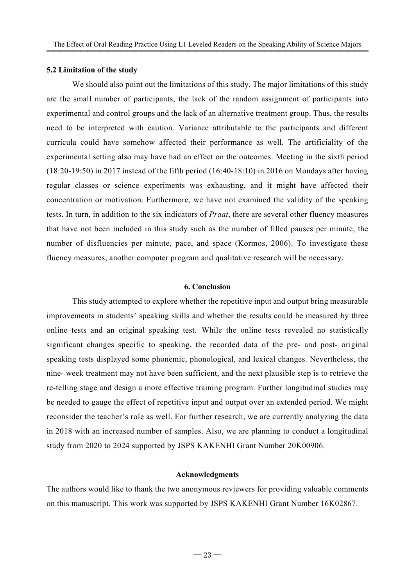#### **5.2 Limitation of the study**

We should also point out the limitations of this study. The major limitations of this study are the small number of participants, the lack of the random assignment of participants into experimental and control groups and the lack of an alternative treatment group. Thus, the results need to be interpreted with caution. Variance attributable to the participants and different curricula could have somehow affected their performance as well. The artificiality of the experimental setting also may have had an effect on the outcomes. Meeting in the sixth period (18:20-19:50) in 2017 instead of the fifth period (16:40-18:10) in 2016 on Mondays after having regular classes or science experiments was exhausting, and it might have affected their concentration or motivation. Furthermore, we have not examined the validity of the speaking tests. In turn, in addition to the six indicators of *Praat*, there are several other fluency measures that have not been included in this study such as the number of filled pauses per minute, the number of disfluencies per minute, pace, and space (Kormos, 2006). To investigate these fluency measures, another computer program and qualitative research will be necessary.

#### **6. Conclusion**

This study attempted to explore whether the repetitive input and output bring measurable improvements in students' speaking skills and whether the results could be measured by three online tests and an original speaking test. While the online tests revealed no statistically significant changes specific to speaking, the recorded data of the pre- and post- original speaking tests displayed some phonemic, phonological, and lexical changes. Nevertheless, the nine- week treatment may not have been sufficient, and the next plausible step is to retrieve the re-telling stage and design a more effective training program. Further longitudinal studies may be needed to gauge the effect of repetitive input and output over an extended period. We might reconsider the teacher's role as well. For further research, we are currently analyzing the data in 2018 with an increased number of samples. Also, we are planning to conduct a longitudinal study from 2020 to 2024 supported by JSPS KAKENHI Grant Number 20K00906.

#### **Acknowledgments**

The authors would like to thank the two anonymous reviewers for providing valuable comments on this manuscript. This work was supported by JSPS KAKENHI Grant Number 16K02867.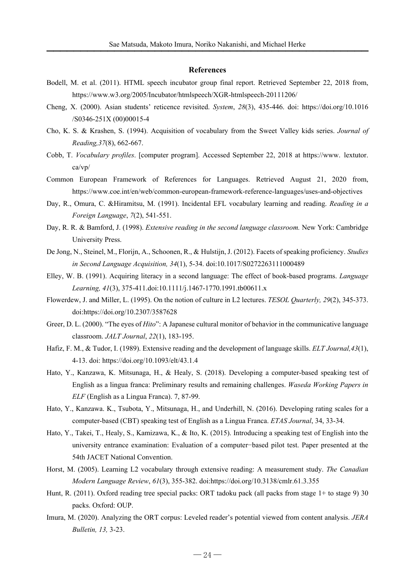#### **References**

- Bodell, M. et al. (2011). HTML speech incubator group final report. Retrieved September 22, 2018 from, https://www.w3.org/2005/Incubator/htmlspeech/XGR-htmlspeech-20111206/
- Cheng, X. (2000). Asian students' reticence revisited. *System*, *28*(3), 435-446. doi: https://doi.org/10.1016 /S0346-251X (00)00015-4
- Cho, K. S. & Krashen, S. (1994). Acquisition of vocabulary from the Sweet Valley kids series. *Journal of Reading,37*(8), 662-667.
- Cobb, T. *Vocabulary profiles*. [computer program]. Accessed September 22, 2018 at https://www. lextutor. ca/vp/
- Common European Framework of References for Languages. Retrieved August 21, 2020 from, https://www.coe.int/en/web/common-european-framework-reference-languages/uses-and-objectives
- Day, R., Omura, C. &Hiramitsu, M. (1991). Incidental EFL vocabulary learning and reading. *Reading in a Foreign Language*, *7*(2), 541-551.
- Day, R. R. & Bamford, J. (1998). *Extensive reading in the second language classroom.* New York: Cambridge University Press.
- De Jong, N., Steinel, M., Florijn, A., Schoonen, R., & Hulstijn, J. (2012). Facets of speaking proficiency. *Studies in Second Language Acquisition, 34*(1), 5-34. doi:10.1017/S0272263111000489
- Elley, W. B. (1991). Acquiring literacy in a second language: The effect of book-based programs. *Language Learning, 41*(3), 375-411.doi:10.1111/j.1467-1770.1991.tb00611.x
- Flowerdew, J. and Miller, L. (1995). On the notion of culture in L2 lectures. *TESOL Quarterly, 29*(2), 345-373. doi:https://doi.org/10.2307/3587628
- Greer, D. L. (2000). "The eyes of *Hito*": A Japanese cultural monitor of behavior in the communicative language classroom. *JALT Journal*, *22*(1), 183-195.
- Hafiz, F. M., & Tudor, I. (1989). Extensive reading and the development of language skills. *ELT Journal,43*(1), 4-13. doi: https://doi.org/10.1093/elt/43.1.4
- Hato, Y., Kanzawa, K. Mitsunaga, H., & Healy, S. (2018). Developing a computer-based speaking test of English as a lingua franca: Preliminary results and remaining challenges. *Waseda Working Papers in ELF* (English as a Lingua Franca). 7, 87-99.
- Hato, Y., Kanzawa. K., Tsubota, Y., Mitsunaga, H., and Underhill, N. (2016). Developing rating scales for a computer-based (CBT) speaking test of English as a Lingua Franca. *ETAS Journal*, 34, 33-34.
- Hato, Y., Takei, T., Healy, S., Kamizawa, K., & Ito, K. (2015). Introducing a speaking test of English into the university entrance examination: Evaluation of a computer−based pilot test. Paper presented at the 54th JACET National Convention.
- Horst, M. (2005). Learning L2 vocabulary through extensive reading: A measurement study. *The Canadian Modern Language Review*, *61*(3), 355-382. doi:https://doi.org/10.3138/cmlr.61.3.355
- Hunt, R. (2011). Oxford reading tree special packs: ORT tadoku pack (all packs from stage 1+ to stage 9) 30 packs. Oxford: OUP.
- Imura, M. (2020). Analyzing the ORT corpus: Leveled reader's potential viewed from content analysis. *JERA Bulletin, 13,* 3-23.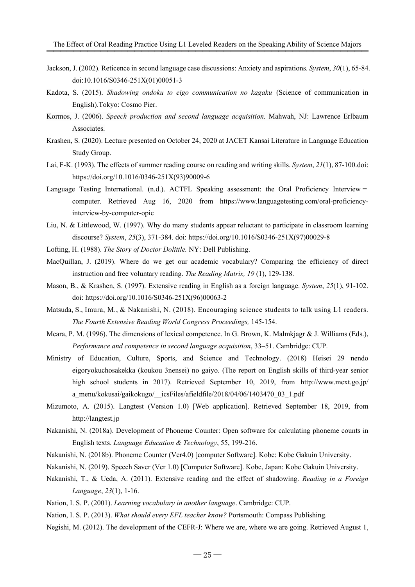- Jackson, J. (2002). Reticence in second language case discussions: Anxiety and aspirations. *System*, *30*(1), 65-84. doi:10.1016/S0346-251X(01)00051-3
- Kadota, S. (2015). *Shadowing ondoku to eigo communication no kagaku* (Science of communication in English).Tokyo: Cosmo Pier.
- Kormos, J. (2006). *Speech production and second language acquisition.* Mahwah, NJ: Lawrence Erlbaum Associates.
- Krashen, S. (2020). Lecture presented on October 24, 2020 at JACET Kansai Literature in Language Education Study Group.
- Lai, F-K. (1993). The effects of summer reading course on reading and writing skills. *System*, *21*(1), 87-100.doi: https://doi.org/10.1016/0346-251X(93)90009-6
- Language Testing International. (n.d.). ACTFL Speaking assessment: the Oral Proficiency Interviewcomputer. Retrieved Aug 16, 2020 from https://www.languagetesting.com/oral-proficiencyinterview-by-computer-opic
- Liu, N. & Littlewood, W. (1997). Why do many students appear reluctant to participate in classroom learning discourse? *System*, *25*(3), 371-384. doi: https://doi.org/10.1016/S0346-251X(97)00029-8
- Lofting, H. (1988). *The Story of Doctor Dolittle.* NY: Dell Publishing.
- MacQuillan, J. (2019). Where do we get our academic vocabulary? Comparing the efficiency of direct instruction and free voluntary reading. *The Reading Matrix, 19* (1), 129-138.
- Mason, B., & Krashen, S. (1997). Extensive reading in English as a foreign language. *System*, *25*(1), 91-102. doi: https://doi.org/10.1016/S0346-251X(96)00063-2
- Matsuda, S., Imura, M., & Nakanishi, N. (2018). Encouraging science students to talk using L1 readers. *The Fourth Extensive Reading World Congress Proceedings,* 145-154.
- Meara, P. M. (1996). The dimensions of lexical competence. In G. Brown, K. Malmkjagr & J. Williams (Eds.), *Performance and competence in second language acquisition*, 33–51. Cambridge: CUP.
- Ministry of Education, Culture, Sports, and Science and Technology. (2018) Heisei 29 nendo eigoryokuchosakekka (koukou 3nensei) no gaiyo. (The report on English skills of third-year senior high school students in 2017). Retrieved September 10, 2019, from http://www.mext.go.jp/ a\_menu/kokusai/gaikokugo/\_icsFiles/afieldfile/2018/04/06/1403470\_03\_1.pdf
- Mizumoto, A. (2015). Langtest (Version 1.0) [Web application]. Retrieved September 18, 2019, from http://langtest.jp
- Nakanishi, N. (2018a). Development of Phoneme Counter: Open software for calculating phoneme counts in English texts. *Language Education & Technology*, 55, 199-216.
- Nakanishi, N. (2018b). Phoneme Counter (Ver4.0) [computer Software]. Kobe: Kobe Gakuin University.
- Nakanishi, N. (2019). Speech Saver (Ver 1.0) [Computer Software]. Kobe, Japan: Kobe Gakuin University.
- Nakanishi, T., & Ueda, A. (2011). Extensive reading and the effect of shadowing. *Reading in a Foreign Language*, *23*(1), 1-16.
- Nation, I. S. P. (2001). *Learning vocabulary in another language*. Cambridge: CUP.
- Nation, I. S. P. (2013). *What should every EFL teacher know?* Portsmouth: Compass Publishing.
- Negishi, M. (2012). The development of the CEFR-J: Where we are, where we are going. Retrieved August 1,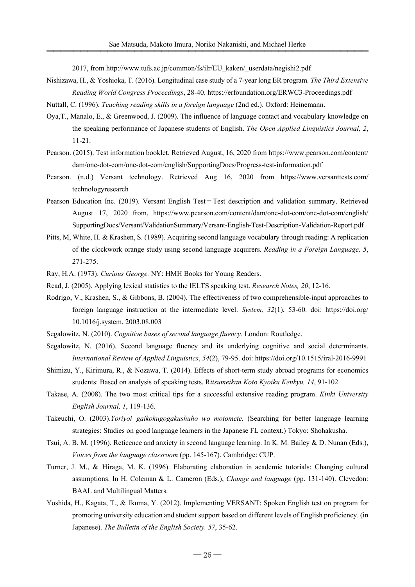2017, from http://www.tufs.ac.jp/common/fs/ilr/EU\_kaken/\_userdata/negishi2.pdf

- Nishizawa, H., & Yoshioka, T. (2016). Longitudinal case study of a 7-year long ER program. *The Third Extensive Reading World Congress Proceedings*, 28-40. https://erfoundation.org/ERWC3-Proceedings.pdf
- Nuttall, C. (1996). *Teaching reading skills in a foreign language* (2nd ed.). Oxford: Heinemann.
- Oya,T., Manalo, E., & Greenwood, J. (2009). The influence of language contact and vocabulary knowledge on the speaking performance of Japanese students of English. *The Open Applied Linguistics Journal, 2*, 11-21.
- Pearson. (2015). Test information booklet. Retrieved August, 16, 2020 from https://www.pearson.com/content/ dam/one-dot-com/one-dot-com/english/SupportingDocs/Progress-test-information.pdf
- Pearson. (n.d.) Versant technology. Retrieved Aug 16, 2020 from https://www.versanttests.com/ technologyresearch
- Pearson Education Inc. (2019). Versant English Test-Test description and validation summary. Retrieved August 17, 2020 from, https://www.pearson.com/content/dam/one-dot-com/one-dot-com/english/ SupportingDocs/Versant/ValidationSummary/Versant-English-Test-Description-Validation-Report.pdf
- Pitts, M, White, H. & Krashen, S. (1989). Acquiring second language vocabulary through reading: A replication of the clockwork orange study using second language acquirers. *Reading in a Foreign Language, 5*, 271-275.
- Ray, H.A. (1973). *Curious George.* NY: HMH Books for Young Readers.
- Read, J. (2005). Applying lexical statistics to the IELTS speaking test. *Research Notes, 20*, 12-16.
- Rodrigo, V., Krashen, S., & Gibbons, B. (2004). The effectiveness of two comprehensible-input approaches to foreign language instruction at the intermediate level. *System, 32*(1), 53-60. doi: https://doi.org/ 10.1016/j.system. 2003.08.003
- Segalowitz, N. (2010). *Cognitive bases of second language fluency.* London: Routledge.
- Segalowitz, N. (2016). Second language fluency and its underlying cognitive and social determinants. *International Review of Applied Linguistics*, *54*(2), 79-95. doi: https://doi.org/10.1515/iral-2016-9991
- Shimizu, Y., Kirimura, R., & Nozawa, T. (2014). Effects of short-term study abroad programs for economics students: Based on analysis of speaking tests. R*itsumeikan Koto Kyoiku Kenkyu, 14*, 91-102.
- Takase, A. (2008). The two most critical tips for a successful extensive reading program. *Kinki University English Journal, 1*, 119-136.
- Takeuchi, O. (2003).*Yoriyoi gaikokugogakushuho wo motomete.* (Searching for better language learning strategies: Studies on good language learners in the Japanese FL context.) Tokyo: Shohakusha.
- Tsui, A. B. M. (1996). Reticence and anxiety in second language learning. In K. M. Bailey & D. Nunan (Eds.), *Voices from the language classroom* (pp. 145-167). Cambridge: CUP.
- Turner, J. M., & Hiraga, M. K. (1996). Elaborating elaboration in academic tutorials: Changing cultural assumptions. In H. Coleman & L. Cameron (Eds.), *Change and language* (pp. 131-140). Clevedon: BAAL and Multilingual Matters.
- Yoshida, H., Kagata, T., & Ikuma, Y. (2012). Implementing VERSANT: Spoken English test on program for promoting university education and student support based on different levels of English proficiency. (in Japanese). *The Bulletin of the English Society, 57*, 35-62.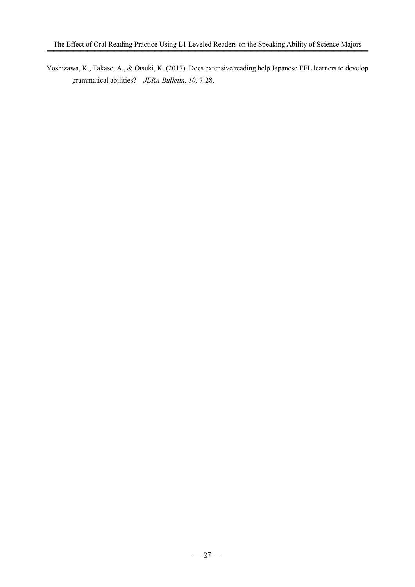Yoshizawa, K., Takase, A., & Otsuki, K. (2017). Does extensive reading help Japanese EFL learners to develop grammatical abilities? *JERA Bulletin, 10,* 7-28.